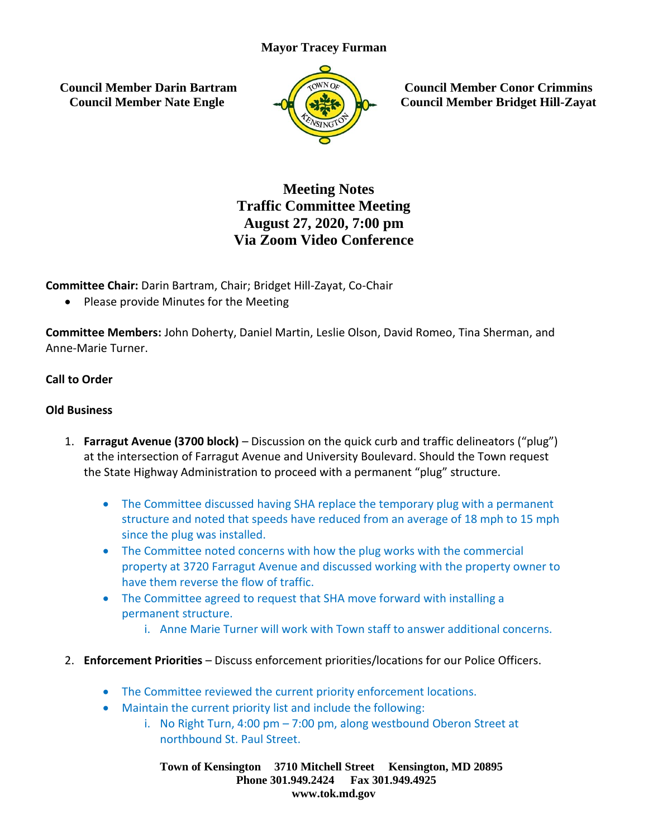#### **Mayor Tracey Furman**

**Council Member Darin Bartram Council Member Nate Engle**



**Council Member Conor Crimmins Council Member Bridget Hill-Zayat**

# **Meeting Notes Traffic Committee Meeting August 27, 2020, 7:00 pm Via Zoom Video Conference**

**Committee Chair:** Darin Bartram, Chair; Bridget Hill-Zayat, Co-Chair

• Please provide Minutes for the Meeting

**Committee Members:** John Doherty, Daniel Martin, Leslie Olson, David Romeo, Tina Sherman, and Anne-Marie Turner.

## **Call to Order**

#### **Old Business**

- 1. **Farragut Avenue (3700 block)** Discussion on the quick curb and traffic delineators ("plug") at the intersection of Farragut Avenue and University Boulevard. Should the Town request the State Highway Administration to proceed with a permanent "plug" structure.
	- The Committee discussed having SHA replace the temporary plug with a permanent structure and noted that speeds have reduced from an average of 18 mph to 15 mph since the plug was installed.
	- The Committee noted concerns with how the plug works with the commercial property at 3720 Farragut Avenue and discussed working with the property owner to have them reverse the flow of traffic.
	- The Committee agreed to request that SHA move forward with installing a permanent structure.
		- i. Anne Marie Turner will work with Town staff to answer additional concerns.
- 2. **Enforcement Priorities** Discuss enforcement priorities/locations for our Police Officers.
	- The Committee reviewed the current priority enforcement locations.
	- Maintain the current priority list and include the following:
		- i. No Right Turn, 4:00 pm 7:00 pm, along westbound Oberon Street at northbound St. Paul Street.

**Town of Kensington 3710 Mitchell Street Kensington, MD 20895 Phone 301.949.2424 Fax 301.949.4925 www.tok.md.gov**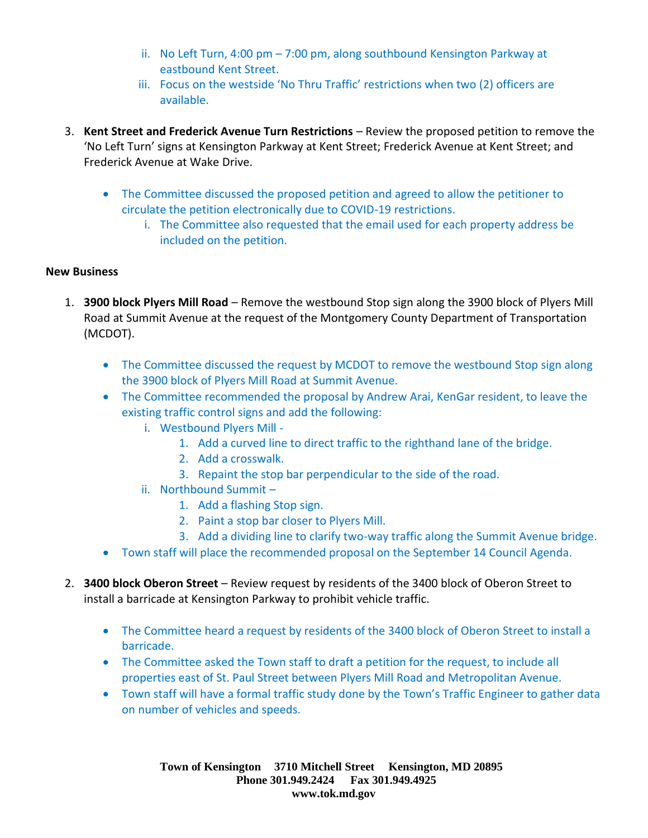- ii. No Left Turn, 4:00 pm 7:00 pm, along southbound Kensington Parkway at eastbound Kent Street.
- iii. Focus on the westside 'No Thru Traffic' restrictions when two (2) officers are available.
- 3. **Kent Street and Frederick Avenue Turn Restrictions** Review the proposed petition to remove the 'No Left Turn' signs at Kensington Parkway at Kent Street; Frederick Avenue at Kent Street; and Frederick Avenue at Wake Drive.
	- The Committee discussed the proposed petition and agreed to allow the petitioner to circulate the petition electronically due to COVID-19 restrictions.
		- i. The Committee also requested that the email used for each property address be included on the petition.

## **New Business**

- 1. **3900 block Plyers Mill Road** Remove the westbound Stop sign along the 3900 block of Plyers Mill Road at Summit Avenue at the request of the Montgomery County Department of Transportation (MCDOT).
	- The Committee discussed the request by MCDOT to remove the westbound Stop sign along the 3900 block of Plyers Mill Road at Summit Avenue.
	- The Committee recommended the proposal by Andrew Arai, KenGar resident, to leave the existing traffic control signs and add the following:
		- i. Westbound Plyers Mill
			- 1. Add a curved line to direct traffic to the righthand lane of the bridge.
			- 2. Add a crosswalk.
			- 3. Repaint the stop bar perpendicular to the side of the road.
		- ii. Northbound Summit
			- 1. Add a flashing Stop sign.
			- 2. Paint a stop bar closer to Plyers Mill.
			- 3. Add a dividing line to clarify two-way traffic along the Summit Avenue bridge.
	- Town staff will place the recommended proposal on the September 14 Council Agenda.
- 2. **3400 block Oberon Street** Review request by residents of the 3400 block of Oberon Street to install a barricade at Kensington Parkway to prohibit vehicle traffic.
	- The Committee heard a request by residents of the 3400 block of Oberon Street to install a barricade.
	- The Committee asked the Town staff to draft a petition for the request, to include all properties east of St. Paul Street between Plyers Mill Road and Metropolitan Avenue.
	- Town staff will have a formal traffic study done by the Town's Traffic Engineer to gather data on number of vehicles and speeds.

**Town of Kensington 3710 Mitchell Street Kensington, MD 20895 Phone 301.949.2424 Fax 301.949.4925 www.tok.md.gov**